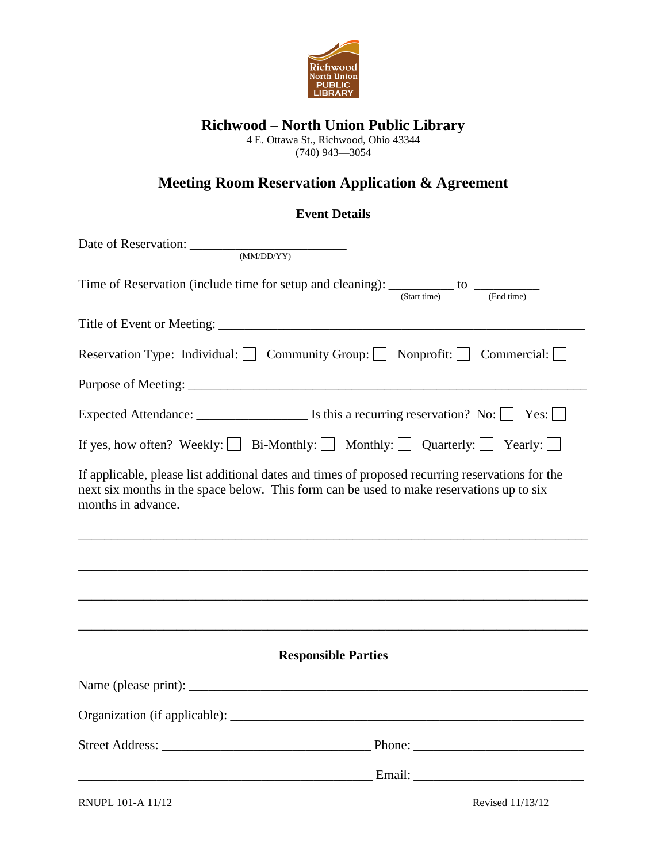

## **Richwood – North Union Public Library**

4 E. Ottawa St., Richwood, Ohio 43344

(740) 943—3054

# **Meeting Room Reservation Application & Agreement**

### **Event Details**

| Date of Reservation: <u>CONADDATY</u>                                                                                                                                                                              |  |  |
|--------------------------------------------------------------------------------------------------------------------------------------------------------------------------------------------------------------------|--|--|
| Time of Reservation (include time for setup and cleaning): $\frac{1}{(Start time)}$ to $\frac{1}{(End time)}$                                                                                                      |  |  |
|                                                                                                                                                                                                                    |  |  |
| Reservation Type: Individual: Community Group: Nonprofit: Commercial:                                                                                                                                              |  |  |
|                                                                                                                                                                                                                    |  |  |
| Expected Attendance: $\Box$ Is this a recurring reservation? No: $\Box$ Yes: $\Box$                                                                                                                                |  |  |
| If yes, how often? Weekly: $\Box$ Bi-Monthly: $\Box$ Monthly: $\Box$ Quarterly: $\Box$ Yearly: $\Box$                                                                                                              |  |  |
| If applicable, please list additional dates and times of proposed recurring reservations for the<br>next six months in the space below. This form can be used to make reservations up to six<br>months in advance. |  |  |
|                                                                                                                                                                                                                    |  |  |
|                                                                                                                                                                                                                    |  |  |
|                                                                                                                                                                                                                    |  |  |
| <b>Responsible Parties</b>                                                                                                                                                                                         |  |  |
|                                                                                                                                                                                                                    |  |  |
|                                                                                                                                                                                                                    |  |  |
|                                                                                                                                                                                                                    |  |  |
| <u> Email: [2007] [2008] [2009] [2008] [2008] [2008] [2008] [2008] [2008] [2008] [2008] [2008] [2008] [2008] [2008]</u>                                                                                            |  |  |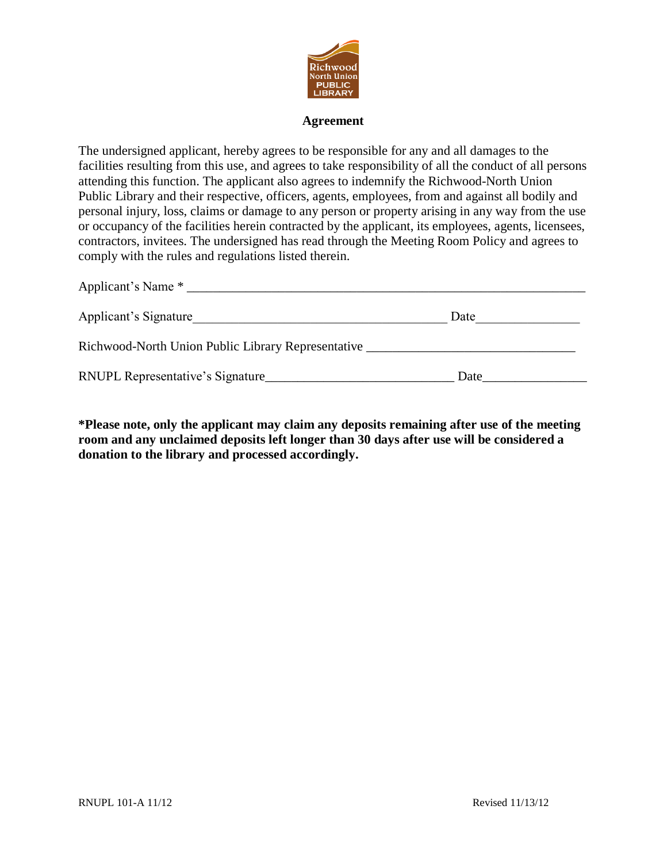

#### **Agreement**

The undersigned applicant, hereby agrees to be responsible for any and all damages to the facilities resulting from this use, and agrees to take responsibility of all the conduct of all persons attending this function. The applicant also agrees to indemnify the Richwood-North Union Public Library and their respective, officers, agents, employees, from and against all bodily and personal injury, loss, claims or damage to any person or property arising in any way from the use or occupancy of the facilities herein contracted by the applicant, its employees, agents, licensees, contractors, invitees. The undersigned has read through the Meeting Room Policy and agrees to comply with the rules and regulations listed therein.

| Applicant's Signature                                     | Date |  |
|-----------------------------------------------------------|------|--|
| Richwood-North Union Public Library Representative ______ |      |  |
| RNUPL Representative's Signature                          | Date |  |

**\*Please note, only the applicant may claim any deposits remaining after use of the meeting room and any unclaimed deposits left longer than 30 days after use will be considered a donation to the library and processed accordingly.**